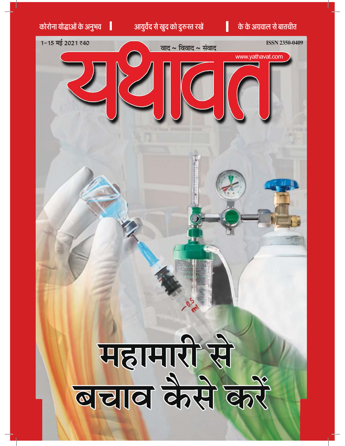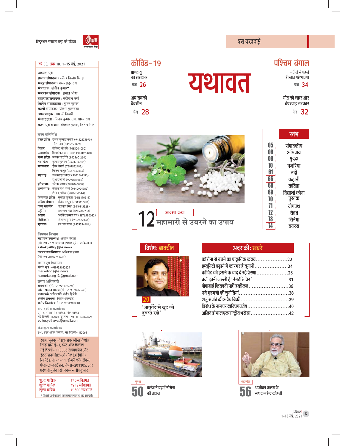हिन्दुस्थान समाचार समूह की पत्रिका



# कोविड – १९

प्राणवायु

का हाहाँकार

**पेज 26** 

अब सबको

<sub>ਧੋਯ</sub> 28

वैक्सीन

### इस पखवाडे

# पश्चिम बंगाल

नतीजे से पहले ही जीत गई भाजपा **पेज 34** 

मौत की लहर और बेपरवाह सरकार

<sub>ਧੋਯ</sub> 32

|    | रतभ             |
|----|-----------------|
|    | संपादकीय        |
|    | अभिपाय          |
|    | मुद्दा          |
|    | नजरिया          |
|    | नदी             |
|    | कहानी           |
|    | कविता           |
| hY | विद्यार्थी कोना |
|    | पुस्तक          |
|    | योगपथ           |
|    | सेहत            |
|    | सिनेमा          |
| Ĭ  | बतरस            |



| आवरण कथा<br>$\bigcap$ |  |
|-----------------------|--|

|                                    | $\frac{0}{0}$<br>$\frac{0}{1}$<br>$\frac{6}{6}$<br>$\frac{6}{6}$<br>$\frac{6}{7}$ |
|------------------------------------|-----------------------------------------------------------------------------------|
| ज्था                               | I<br>7                                                                            |
| T<br>$\overline{\phantom{a}}$<br>⊐ | 7                                                                                 |

यथावत



| कोरोना से बचने का प्राकृतिक कवच22      |  |
|----------------------------------------|--|
| इम्यूनिटी बढ़ाने में कारगर है यूनानी24 |  |
| कोविड को हराने के बाद दे रहे प्रेरणा25 |  |
|                                        |  |
| पोपाबाई किंवदंती नहीं हकीकत…………………….36 |  |
|                                        |  |
|                                        |  |
|                                        |  |
|                                        |  |
|                                        |  |



| कोरोन        |
|--------------|
| इम्यूनि      |
| कोविड        |
| <br>क्यों इत |
| पोपाबाः      |
| नये गृह      |
| शत्रु संग    |
|              |

| कोरोना से बचने का प्राकृतिक कवच22      |  |
|----------------------------------------|--|
| इम्यूनिटी बढ़ाने में कारगर है यूनानी24 |  |
| कोविड को हराने के बाद दे रहे प्रेरणा25 |  |
| क्यों इतनी जरूरी है ' रेमडेसिविर '31   |  |
| पोपाबाई किंवदंती नहीं हकीकत36          |  |
|                                        |  |
|                                        |  |
|                                        |  |
|                                        |  |
|                                        |  |

अंदर की: खबरें







 $\overline{\bf 56}$  आजीवन कलम के



प्रधान संपादक : रवीन्द्र किशोर सिन्हा समूह संपादकः रामबहादुर राय संपादक : संजीव कुमार\* समन्वय संपादक : प्रभात ओझा **सहायक संपादक** : बद्रीनाथ वर्मा विशेष संवाददाता : गुंजन कुमार कॉपी संपादक : प्रतिभा कुशवाहा उपसंपादकः राम जी तिवारी संवाददाता : विजय कुमार राय, सौरव राय

वर्ष 08, अंक 18, 1-15 मई, 2021

अध्यक्ष एवं कला एवं सज्जा: रविकांत कुमार, जितेन्द्र सिंह

उत्तर प्रदेश : राजेश कुमार तिवारी (9452875890) सौरभ राय (9415653899)

गोविन्द चौधरी (7488004080) उत्तराखंडः शिवशंकर जायसवाल (9411111401) मध्य प्रदेशः मयंक चतुर्वेदी (9425601264) झारखंड कुमार कृष्णन (9304706646)

ईश्वर बैरागी (7597892495) विजय माथुर (9587330333)

नरेन्दर जग्गा (7814040030) छत्तीसगढ़ः केशव नाथ शर्मा (9340924982) शैलेन्द्र पांडेय (9826632544) हिमाचल प्रदेशः सुनील शुक्ला (9418190914)

राजबहादुर यादव (9022564186) सुधीर जोशी (9096619855)

संतोष मधूप (7003057081)

बलवान सिंह (9419143528)

समन्वय नंदा (8249287233)

विशाल गुरंग (9832432437) हर्ष भाई शाह (9979794494)

अरविंद कुमार राय (8876590082)

राज्य प्रतिनिधि

बिहारः

राजस्थानः

महाराष्ट्रः

हरियाणाः

पश्चिम बंगालः

जम्मू कश्मीरः

उड़ीसाः

असमः

सिक्किमः

गुजरातः विषणन विभाग सहायक उपाध्यक्षः अशोक जेटली (मो.+91 7739336363) (प्रसार एवं सब्सक्रिप्शन)

ashok.jaitley.@hs.news उपप्रबंधक विपणनः अविनाश कुमार (मो.+91 08700741934) प्रसार एवं विज्ञापन संपर्क सूत्रः +919953032624 marketing@hs.news hsmarketing13@gmail.com प्रसार अधिकारी रामभजन (मो.+91 9711515991) भोला प्रसाद यादव (मो.+91 9871487548) **जनसंपर्क अधिकारी**ः संदीप द्विवेदी क्षेत्रीय प्रबंधकः बिहार-झारखंड मनीष किशोर (मो.+91 9334919888)

संपादकीय कार्यालय

शुल्क पाक्षिक

शुल्क वार्षिक

शुल्क वार्षिक

सपादवंगच वंगवारनव<br>एम–6, भगत सिंह मार्केट, गोल मार्केट<br>नई दिल्ली–110001, दूरभाष – 91–11–43560629

ई–1, ईंस्ट ऑफ कैलाश, नई दिल्ली– 110065 स्वामी, मुद्रक एवं प्रकाशक रवीन्द्र किशोर सिन्हा द्वारा ई–1, ईस्ट ऑफ कैलाश, नई दिल्ली- 110065 से प्रकाशित और इंटरनेशनल प्रिट–ओ–पैक (आईपीपी) प्रदेश से मुद्रित। संपादक– संजीव कुमार

₹४० व्यक्तिगत

∶ ₹९१२ व्यक्तिगत

∶ ₹1500 संस्थागत

\* पीआरबी अधिनियम के तहत समाचार चयन के लिए उत्तरदायी।

editor.yathavat@gmail.com पंजीकत कार्यालय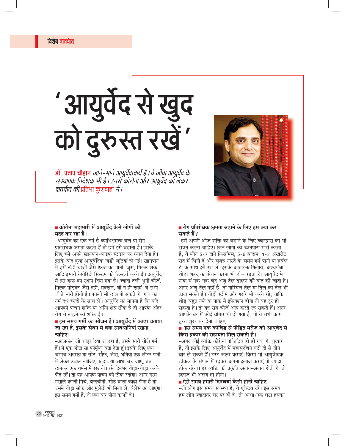# 'आयुर्वेद से खुद<br>को दुरुस्त रखें'

डॉ. प्रताप चौहान जाने-माने आयुर्वेदाचार्य हैं। वे जीवा आयुर्वेद के संस्थापक निदेशक भी हैं। उनसे कोरोना और आयुर्वेद को लेकर *बातचीत की* प्रतिभा कुशवाहा *ने।* 



### ■ कोरोना महामारी में आयुर्वेद कैसे लोगों की मदद कर रहा है।

-आयुर्वेद का एक टर्म है व्याधिक्षमत्व बल या रोग प्रतिरोधक क्षमता कहते हैं तो हमें इसे बढ़ाना है। इसके लिए हमें अपने खानपान-लाइफ स्टाइल पर ध्यान देना है। इसके बाद कुछ आयुर्वेदिक जडी-बुटियां हो गईं। खानपान में हमें ठंडी चीजों जैसे फ्रिज का पानी, जुस, मिल्क शेक आदि हमारी रेस्पेरिटी सिस्टम को डिस्टर्ब करते हैं। आयुर्वेद में इसे कफ का स्थान दिया गया है। ज्यादा तली-भूनी चीजें, मिल्क प्रोडक्ट जैसे दही, मक्खन, घी न ही खाएं। ये सभी चीजें भारी होती हैं। पतली सी छाछ पी सकते हैं, गाय का गर्म दूध हल्दी के साथ लें। आयुर्वेद का मानना है कि यदि आपकी पाचन शक्ति या अग्नि क्षेत्र ठीक है तो आपके अंदर रोग से लडने की शक्ति है।

### ■ इस समय गर्मी का सीजन है। आयुर्वेद में काढा बताया जा रहा है, इसके सेवन में क्या सावधानियां रखना चाहिए।

-आजकल जो काढ़ा दिया जा रहा है, उसमें सारी चीजें गर्म हैं। मैं एक छोटा सा फॉर्मूला बता देता हूं। इसके लिए एक चम्मच अदरख या सोठ, सौफ, जीरा, धनिया एक लीटर पानी में लेकर उबाल लीजिए। तिहाई या आधा बच जाए, तब छानकर एक थर्मस में रख लें। इसे दिनभर थोड़ा-थोड़ा करके पीते रहें। तो यह आपके पाचन को ठीक रखेगा। अगर गरम मसाले काली मिर्च, दालचीनी, सोठ वाला काढा पीना है तो उसमें थोड़ा सौफ और मुलेठी भी मिला लें, बैलेंस आ जाएगा। इस समय गर्मी है, तो एक बार पीना काफी है।

### ■ रोग प्रतिरोधक क्षमता बढाने के लिए हम क्या कर सकते हैं ?

-हमें अपनी ओज शक्ति को बढाने के लिए च्वनप्रास का भी सेवन करना चाहिए। जिन लोगों को च्वनप्रास भारी करता है, वे लोग 5-7 दाने किसमिस, 5-6 बादाम, 1-2 अखरोट रात में भिगो दें और सुबह नास्ते के समय गर्म पानी या हर्बल टी के साथ इसे खा लें। इसके अतिरिक्त गिलोय, अश्वगंधा, थोड़ा शहद का सेवन करना भी ठीक रहता है। आयुर्वेद में नाक में एक-एक बूंद अणु तेल डालने की बात की जाती है। अगर अणु तेल नहीं है, तो नारियल तेल या तिल का तेल भी डाल सकते हैं। थोड़ी स्टीम और गरारे भी करते रहें, ताकि थोड़ बहुत गले या नाक में इंफेक्शन होगा तो वह दूर हो सकता है। तो यह सब चीजें आप करते रह सकते हैं। अगर आपके घर में कोई बीमार भी हो गया है, तो ये सभी काम तरंत शरू कर देना चाहिए।

### ■-इस समय एक कोविड से पीड़ित मरीज को आयुर्वेद से किस प्रकार की सहायता मिल सकती है।

-अगर कोई व्यक्ति कोरोना पॉजिटिव हो ही गया है, बुखार है, तो इसके लिए आयुर्वेद में महासुर्दशन वटी दो से तीन बार ले सकते हैं। टेस्ट जरूर कराएं। किसी भी आयुर्वेदिक डॉक्टर के संपर्क में रहकर अपना इलाज कराएं तो ज्यादा ठीक रहेगा। हर व्यक्ति की प्रकृति अलग-अलग होती है, तो इलाज भी अलग ही होगा।

■ ऐसे समय हमारी दिनचर्या कैसी होनी चाहिए। -जो लोग इस समय स्वस्थ्य हैं. वे एक्टिव रहें। इस समय हम लोग ज्यादातर घर पर ही हैं. तो आधा-एक घंटा हल्का